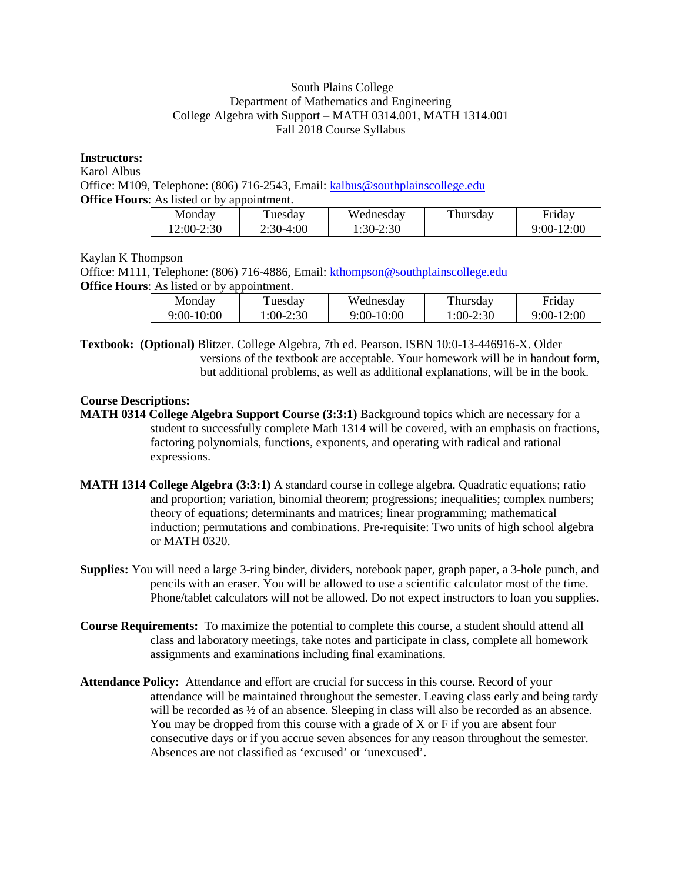#### South Plains College Department of Mathematics and Engineering College Algebra with Support – MATH 0314.001, MATH 1314.001 Fall 2018 Course Syllabus

### **Instructors:**

Karol Albus

Office: M109, Telephone: (806) 716-2543, Email: [kalbus@southplainscollege.edu](mailto:kalbus@southplainscollege.edu) **Office Hours:** As listed or by appointment.

| Monday          | uesdav      | Wednesday            | Thursday | <b>Fridav</b>  |
|-----------------|-------------|----------------------|----------|----------------|
| 2:30<br>$2:00-$ | $2:30-4:00$ | 2:30<br>$\cdot$ 30-2 |          | 12:00<br>9:00- |

# Kaylan K Thompson

Office: M111, Telephone: (806) 716-4886, Email: [kthompson@southplainscollege.edu](mailto:kthompson@southplainscollege.edu) **Office Hours:** As listed or by appointment.

| Monday     | uesdav     | Wednesday  | Thursday | Fridav     |
|------------|------------|------------|----------|------------|
| 9:00-10:00 | $:00-2:30$ | 9:00-10:00 | :00-2:30 | 9:00-12:00 |

**Textbook: (Optional)** Blitzer. College Algebra, 7th ed. Pearson. ISBN 10:0-13-446916-X. Older versions of the textbook are acceptable. Your homework will be in handout form, but additional problems, as well as additional explanations, will be in the book.

# **Course Descriptions:**

**MATH 0314 College Algebra Support Course (3:3:1)** Background topics which are necessary for a student to successfully complete Math 1314 will be covered, with an emphasis on fractions, factoring polynomials, functions, exponents, and operating with radical and rational expressions.

- **MATH 1314 College Algebra (3:3:1)** A standard course in college algebra. Quadratic equations; ratio and proportion; variation, binomial theorem; progressions; inequalities; complex numbers; theory of equations; determinants and matrices; linear programming; mathematical induction; permutations and combinations. Pre-requisite: Two units of high school algebra or MATH 0320.
- **Supplies:** You will need a large 3-ring binder, dividers, notebook paper, graph paper, a 3-hole punch, and pencils with an eraser. You will be allowed to use a scientific calculator most of the time. Phone/tablet calculators will not be allowed. Do not expect instructors to loan you supplies.
- **Course Requirements:** To maximize the potential to complete this course, a student should attend all class and laboratory meetings, take notes and participate in class, complete all homework assignments and examinations including final examinations.
- **Attendance Policy:** Attendance and effort are crucial for success in this course. Record of your attendance will be maintained throughout the semester. Leaving class early and being tardy will be recorded as  $\frac{1}{2}$  of an absence. Sleeping in class will also be recorded as an absence. You may be dropped from this course with a grade of X or F if you are absent four consecutive days or if you accrue seven absences for any reason throughout the semester. Absences are not classified as 'excused' or 'unexcused'.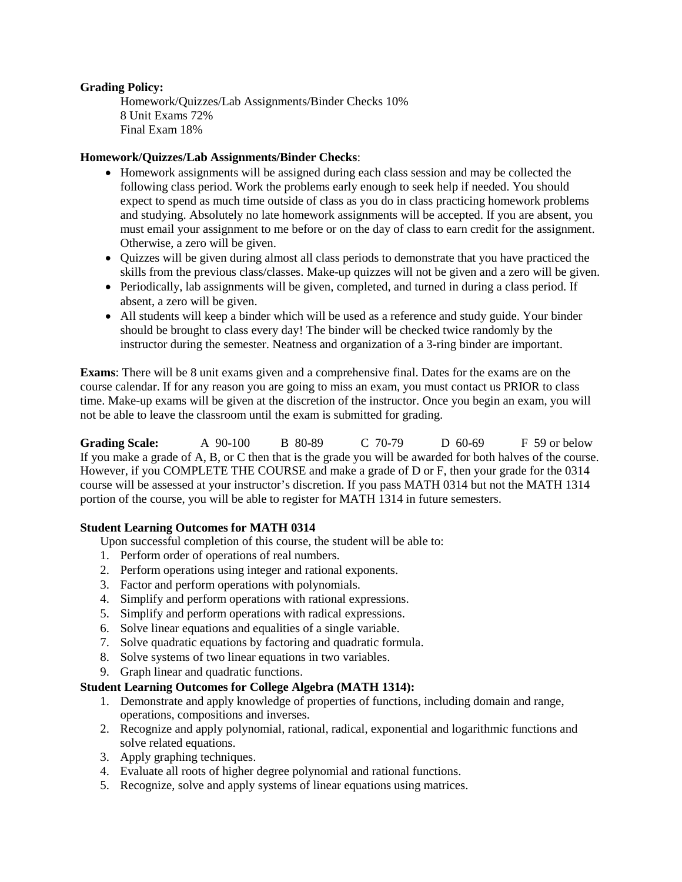### **Grading Policy:**

Homework/Quizzes/Lab Assignments/Binder Checks 10% 8 Unit Exams 72% Final Exam 18%

#### **Homework/Quizzes/Lab Assignments/Binder Checks**:

- Homework assignments will be assigned during each class session and may be collected the following class period. Work the problems early enough to seek help if needed. You should expect to spend as much time outside of class as you do in class practicing homework problems and studying. Absolutely no late homework assignments will be accepted. If you are absent, you must email your assignment to me before or on the day of class to earn credit for the assignment. Otherwise, a zero will be given.
- Quizzes will be given during almost all class periods to demonstrate that you have practiced the skills from the previous class/classes. Make-up quizzes will not be given and a zero will be given.
- Periodically, lab assignments will be given, completed, and turned in during a class period. If absent, a zero will be given.
- All students will keep a binder which will be used as a reference and study guide. Your binder should be brought to class every day! The binder will be checked twice randomly by the instructor during the semester. Neatness and organization of a 3-ring binder are important.

**Exams**: There will be 8 unit exams given and a comprehensive final. Dates for the exams are on the course calendar. If for any reason you are going to miss an exam, you must contact us PRIOR to class time. Make-up exams will be given at the discretion of the instructor. Once you begin an exam, you will not be able to leave the classroom until the exam is submitted for grading.

**Grading Scale:** A 90-100 B 80-89 C 70-79 D 60-69 F 59 or below If you make a grade of A, B, or C then that is the grade you will be awarded for both halves of the course. However, if you COMPLETE THE COURSE and make a grade of D or F, then your grade for the 0314 course will be assessed at your instructor's discretion. If you pass MATH 0314 but not the MATH 1314 portion of the course, you will be able to register for MATH 1314 in future semesters.

#### **Student Learning Outcomes for MATH 0314**

Upon successful completion of this course, the student will be able to:

- 1. Perform order of operations of real numbers.
- 2. Perform operations using integer and rational exponents.
- 3. Factor and perform operations with polynomials.
- 4. Simplify and perform operations with rational expressions.
- 5. Simplify and perform operations with radical expressions.
- 6. Solve linear equations and equalities of a single variable.
- 7. Solve quadratic equations by factoring and quadratic formula.
- 8. Solve systems of two linear equations in two variables.
- 9. Graph linear and quadratic functions.

### **Student Learning Outcomes for College Algebra (MATH 1314):**

- 1. Demonstrate and apply knowledge of properties of functions, including domain and range, operations, compositions and inverses.
- 2. Recognize and apply polynomial, rational, radical, exponential and logarithmic functions and solve related equations.
- 3. Apply graphing techniques.
- 4. Evaluate all roots of higher degree polynomial and rational functions.
- 5. Recognize, solve and apply systems of linear equations using matrices.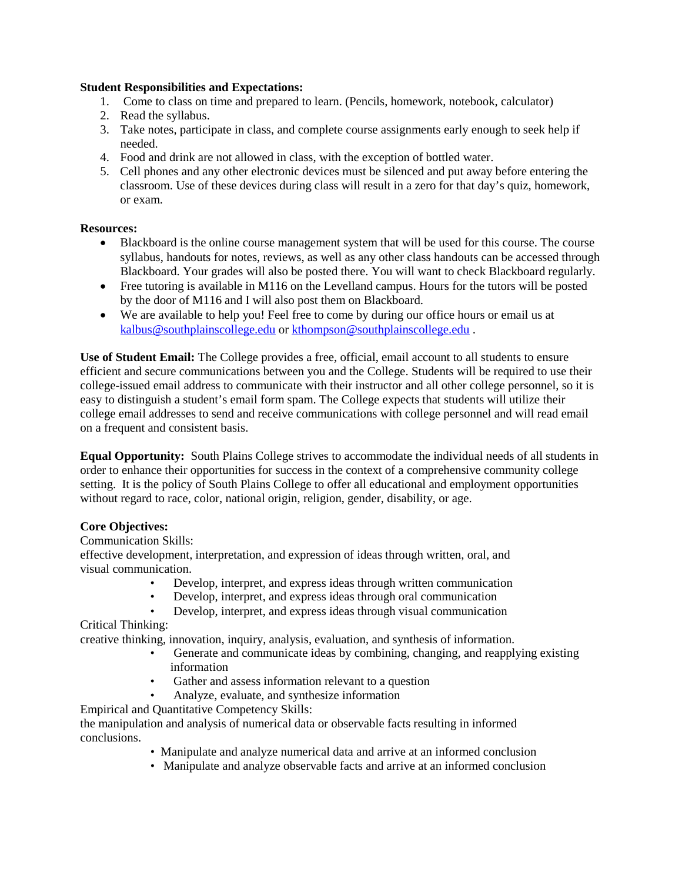### **Student Responsibilities and Expectations:**

- 1. Come to class on time and prepared to learn. (Pencils, homework, notebook, calculator)
- 2. Read the syllabus.
- 3. Take notes, participate in class, and complete course assignments early enough to seek help if needed.
- 4. Food and drink are not allowed in class, with the exception of bottled water.
- 5. Cell phones and any other electronic devices must be silenced and put away before entering the classroom. Use of these devices during class will result in a zero for that day's quiz, homework, or exam.

# **Resources:**

- Blackboard is the online course management system that will be used for this course. The course syllabus, handouts for notes, reviews, as well as any other class handouts can be accessed through Blackboard. Your grades will also be posted there. You will want to check Blackboard regularly.
- Free tutoring is available in M116 on the Levelland campus. Hours for the tutors will be posted by the door of M116 and I will also post them on Blackboard.
- We are available to help you! Feel free to come by during our office hours or email us at [kalbus@southplainscollege.edu](mailto:kalbus@southplainscollege.edu) or [kthompson@southplainscollege.edu](mailto:kthompson@southplainscollege.edu) .

**Use of Student Email:** The College provides a free, official, email account to all students to ensure efficient and secure communications between you and the College. Students will be required to use their college-issued email address to communicate with their instructor and all other college personnel, so it is easy to distinguish a student's email form spam. The College expects that students will utilize their college email addresses to send and receive communications with college personnel and will read email on a frequent and consistent basis.

**Equal Opportunity:** South Plains College strives to accommodate the individual needs of all students in order to enhance their opportunities for success in the context of a comprehensive community college setting. It is the policy of South Plains College to offer all educational and employment opportunities without regard to race, color, national origin, religion, gender, disability, or age.

# **Core Objectives:**

# Communication Skills:

effective development, interpretation, and expression of ideas through written, oral, and visual communication.

- Develop, interpret, and express ideas through written communication
- Develop, interpret, and express ideas through oral communication
- Develop, interpret, and express ideas through visual communication

Critical Thinking:

creative thinking, innovation, inquiry, analysis, evaluation, and synthesis of information.

- Generate and communicate ideas by combining, changing, and reapplying existing information
- Gather and assess information relevant to a question
- Analyze, evaluate, and synthesize information
- Empirical and Quantitative Competency Skills:

the manipulation and analysis of numerical data or observable facts resulting in informed conclusions.

- Manipulate and analyze numerical data and arrive at an informed conclusion
- Manipulate and analyze observable facts and arrive at an informed conclusion